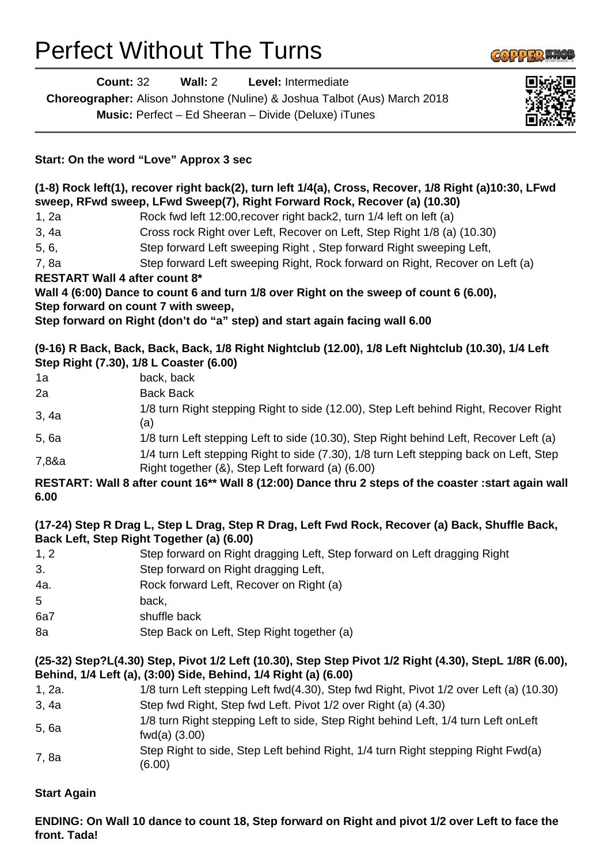# Perfect Without The Turns

|                                      | $1011.$ Off the Notal Love Apples 6000                                                                                                                                             |
|--------------------------------------|------------------------------------------------------------------------------------------------------------------------------------------------------------------------------------|
|                                      | (1-8) Rock left(1), recover right back(2), turn left 1/4(a), Cross, Recover, 1/8 Right (a)10:30, LFwd<br>sweep, RFwd sweep, LFwd Sweep(7), Right Forward Rock, Recover (a) (10.30) |
| 1, 2a                                | Rock fwd left 12:00, recover right back2, turn 1/4 left on left (a)                                                                                                                |
| 3, 4a                                | Cross rock Right over Left, Recover on Left, Step Right 1/8 (a) (10.30)                                                                                                            |
| 5, 6,                                | Step forward Left sweeping Right, Step forward Right sweeping Left,                                                                                                                |
| 7,8a                                 | Step forward Left sweeping Right, Rock forward on Right, Recover on Left (a)                                                                                                       |
| <b>RESTART Wall 4 after count 8*</b> |                                                                                                                                                                                    |
|                                      | Wall 4 (6:00) Dance to count 6 and turn 1/8 over Right on the sweep of count 6 (6.00),                                                                                             |
|                                      | Step forward on count 7 with sweep,                                                                                                                                                |
|                                      | Step forward on Right (don't do "a" step) and start again facing wall 6.00                                                                                                         |
|                                      | (9-16) R Back, Back, Back, Back, 1/8 Right Nightclub (12.00), 1/8 Left Nightclub (10.30), 1/4 Left<br>Step Right (7.30), 1/8 L Coaster (6.00)                                      |
| 1a                                   | back, back                                                                                                                                                                         |
| 2a                                   | <b>Back Back</b>                                                                                                                                                                   |
| 3, 4a                                | 1/8 turn Right stepping Right to side (12.00), Step Left behind Right, Recover Right<br>(a)                                                                                        |
| 5,6a                                 | 1/8 turn Left stepping Left to side (10.30), Step Right behind Left, Recover Left (a)                                                                                              |
| 7,8&a                                | 1/4 turn Left stepping Right to side (7.30), 1/8 turn Left stepping back on Left, Step<br>Right together (&), Step Left forward (a) (6.00)                                         |
| 6.00                                 | RESTART: Wall 8 after count 16** Wall 8 (12:00) Dance thru 2 steps of the coaster : start again wall                                                                               |
|                                      | (17-24) Step R Drag L, Step L Drag, Step R Drag, Left Fwd Rock, Recover (a) Back, Shuffle Back,<br>Back Left, Step Right Together (a) (6.00)                                       |
| 1, 2                                 | Step forward on Right dragging Left, Step forward on Left dragging Right                                                                                                           |
| 3.                                   | Step forward on Right dragging Left,                                                                                                                                               |
| 4a.                                  | Rock forward Left, Recover on Right (a)                                                                                                                                            |
| 5                                    | back,                                                                                                                                                                              |
| 6a7                                  | shuffle back                                                                                                                                                                       |
| 8a                                   | Step Back on Left, Step Right together (a)                                                                                                                                         |
|                                      | (25-32) Step?L(4.30) Step, Pivot 1/2 Left (10.30), Step Step Pivot 1/2 Right (4.30), StepL 1/8R (6.00),<br>Behind, 1/4 Left (a), (3:00) Side, Behind, 1/4 Right (a) (6.00)         |
| 1, 2a.                               | 1/8 turn Left stepping Left fwd(4.30), Step fwd Right, Pivot 1/2 over Left (a) (10.30)                                                                                             |
| 3, 4a                                | Step fwd Right, Step fwd Left. Pivot 1/2 over Right (a) (4.30)                                                                                                                     |

- 5, 6a 1/8 turn Right stepping Left to side, Step Right behind Left, 1/4 turn Left onLeft fwd(a) (3.00)
- 7, 8a Step Right to side, Step Left behind Right, 1/4 turn Right stepping Right Fwd(a) (6.00)

#### **Start Again**

# **ENDING: On Wall 10 dance to count 18, Step forward on Right and pivot 1/2 over Left to face the front. Tada!**

**Count:** 32 **Wall:** 2 **Level:** Intermediate **Choreographer:** Alison Johnstone (Nuline) & Joshua Talbot (Aus) March 2018

**Music:** Perfect – Ed Sheeran – Divide (Deluxe) iTunes

# **Start: On the word "Love" Approx 3 sec**

### **(1-8) Rock left(1), recover right back(2), turn left 1/4(a), Cross, Recover, 1/8 Right (a)10:30, LFwd**  sweep, RFwd sweep, LFw

# **RESTART Wall 4 after counter**

#### **(9-16) R Back, Back, Back, Back, 1/8 Right Nightclub (12.00), 1/8 Left Nightclub (10.30), 1/4 Left Step Right (7.30), 1/8 L Co**

# **(17-24) Step R Drag L, Step L Drag, Step R Drag, Left Fwd Rock, Recover (a) Back, Shuffle Back, Back Left, Step Right Tog**

- 1, 2 Step forward on Right dragging Left, Step forward on Left dragging Right 3. Step for Step for Step for  $\mathcal{S}_1$ 4a. Rock for Rock for Right (a) 5 back,
- 6a7 shuffle 8a **Step Back on Left, Step Right together** (a)